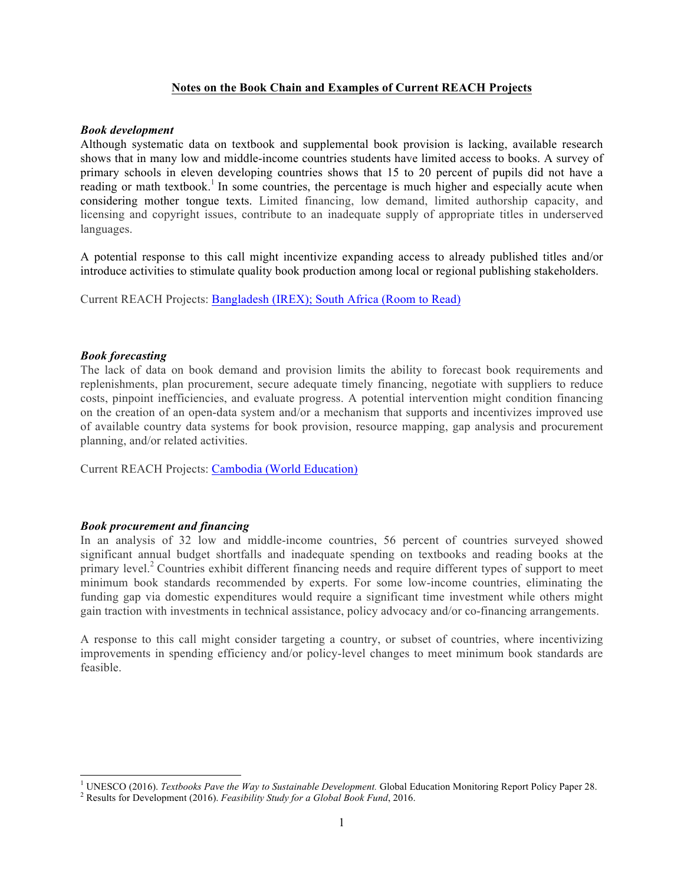# **Notes on the Book Chain and Examples of Current REACH Projects**

## *Book development*

Although systematic data on textbook and supplemental book provision is lacking, available research shows that in many low and middle-income countries students have limited access to books. A survey of primary schools in eleven developing countries shows that 15 to 20 percent of pupils did not have a reading or math textbook.<sup>1</sup> In some countries, the percentage is much higher and especially acute when considering mother tongue texts. Limited financing, low demand, limited authorship capacity, and licensing and copyright issues, contribute to an inadequate supply of appropriate titles in underserved languages.

A potential response to this call might incentivize expanding access to already published titles and/or introduce activities to stimulate quality book production among local or regional publishing stakeholders.

Current REACH Projects: Bangladesh (IREX); South Africa (Room to Read)

## *Book forecasting*

The lack of data on book demand and provision limits the ability to forecast book requirements and replenishments, plan procurement, secure adequate timely financing, negotiate with suppliers to reduce costs, pinpoint inefficiencies, and evaluate progress. A potential intervention might condition financing on the creation of an open-data system and/or a mechanism that supports and incentivizes improved use of available country data systems for book provision, resource mapping, gap analysis and procurement planning, and/or related activities.

Current REACH Projects: Cambodia (World Education)

# *Book procurement and financing*

 

In an analysis of 32 low and middle-income countries, 56 percent of countries surveyed showed significant annual budget shortfalls and inadequate spending on textbooks and reading books at the primary level.<sup>2</sup> Countries exhibit different financing needs and require different types of support to meet minimum book standards recommended by experts. For some low-income countries, eliminating the funding gap via domestic expenditures would require a significant time investment while others might gain traction with investments in technical assistance, policy advocacy and/or co-financing arrangements.

A response to this call might consider targeting a country, or subset of countries, where incentivizing improvements in spending efficiency and/or policy-level changes to meet minimum book standards are feasible.

<sup>&</sup>lt;sup>1</sup> UNESCO (2016). *Textbooks Pave the Way to Sustainable Development*. Global Education Monitoring Report Policy Paper 28. <sup>2</sup> Results for Development (2016). *Feasibility Study for a Global Book Fund*, 2016.